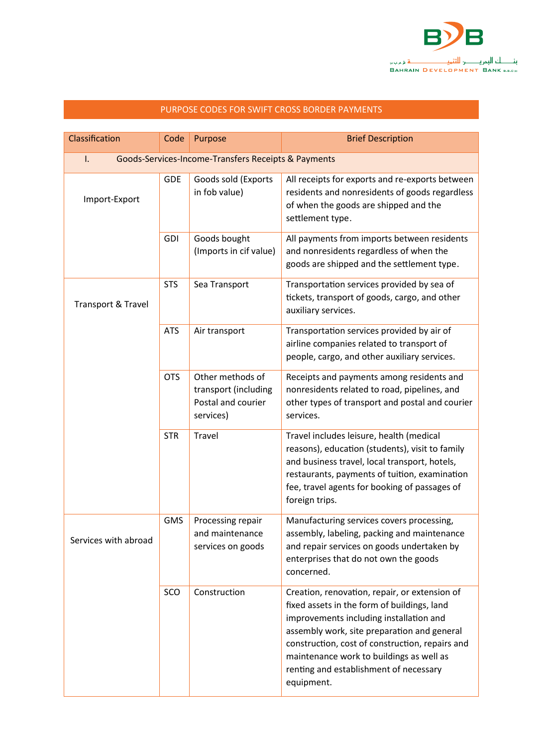

| Classification       | Code                                                | Purpose                                                                     | <b>Brief Description</b>                                                                                                                                                                                                                                                                                                                      |  |  |
|----------------------|-----------------------------------------------------|-----------------------------------------------------------------------------|-----------------------------------------------------------------------------------------------------------------------------------------------------------------------------------------------------------------------------------------------------------------------------------------------------------------------------------------------|--|--|
| I.                   | Goods-Services-Income-Transfers Receipts & Payments |                                                                             |                                                                                                                                                                                                                                                                                                                                               |  |  |
| Import-Export        | <b>GDE</b>                                          | Goods sold (Exports<br>in fob value)                                        | All receipts for exports and re-exports between<br>residents and nonresidents of goods regardless<br>of when the goods are shipped and the<br>settlement type.                                                                                                                                                                                |  |  |
|                      | <b>GDI</b>                                          | Goods bought<br>(Imports in cif value)                                      | All payments from imports between residents<br>and nonresidents regardless of when the<br>goods are shipped and the settlement type.                                                                                                                                                                                                          |  |  |
| Transport & Travel   | <b>STS</b>                                          | Sea Transport                                                               | Transportation services provided by sea of<br>tickets, transport of goods, cargo, and other<br>auxiliary services.                                                                                                                                                                                                                            |  |  |
|                      | <b>ATS</b>                                          | Air transport                                                               | Transportation services provided by air of<br>airline companies related to transport of<br>people, cargo, and other auxiliary services.                                                                                                                                                                                                       |  |  |
|                      | <b>OTS</b>                                          | Other methods of<br>transport (including<br>Postal and courier<br>services) | Receipts and payments among residents and<br>nonresidents related to road, pipelines, and<br>other types of transport and postal and courier<br>services.                                                                                                                                                                                     |  |  |
|                      | <b>STR</b>                                          | <b>Travel</b>                                                               | Travel includes leisure, health (medical<br>reasons), education (students), visit to family<br>and business travel, local transport, hotels,<br>restaurants, payments of tuition, examination<br>fee, travel agents for booking of passages of<br>foreign trips.                                                                              |  |  |
| Services with abroad | <b>GMS</b>                                          | Processing repair<br>and maintenance<br>services on goods                   | Manufacturing services covers processing,<br>assembly, labeling, packing and maintenance<br>and repair services on goods undertaken by<br>enterprises that do not own the goods<br>concerned.                                                                                                                                                 |  |  |
|                      | SCO                                                 | Construction                                                                | Creation, renovation, repair, or extension of<br>fixed assets in the form of buildings, land<br>improvements including installation and<br>assembly work, site preparation and general<br>construction, cost of construction, repairs and<br>maintenance work to buildings as well as<br>renting and establishment of necessary<br>equipment. |  |  |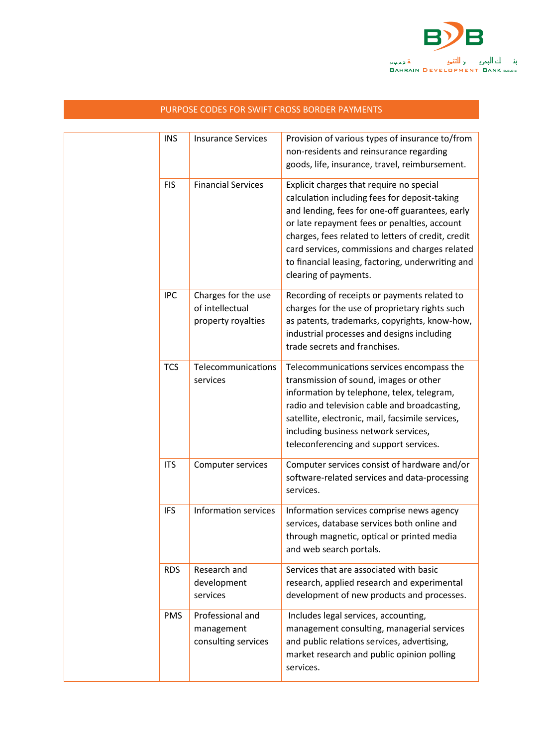

|  | <b>INS</b> | <b>Insurance Services</b>                                    | Provision of various types of insurance to/from<br>non-residents and reinsurance regarding<br>goods, life, insurance, travel, reimbursement.                                                                                                                                                                                                                                       |
|--|------------|--------------------------------------------------------------|------------------------------------------------------------------------------------------------------------------------------------------------------------------------------------------------------------------------------------------------------------------------------------------------------------------------------------------------------------------------------------|
|  | <b>FIS</b> | <b>Financial Services</b>                                    | Explicit charges that require no special<br>calculation including fees for deposit-taking<br>and lending, fees for one-off guarantees, early<br>or late repayment fees or penalties, account<br>charges, fees related to letters of credit, credit<br>card services, commissions and charges related<br>to financial leasing, factoring, underwriting and<br>clearing of payments. |
|  | <b>IPC</b> | Charges for the use<br>of intellectual<br>property royalties | Recording of receipts or payments related to<br>charges for the use of proprietary rights such<br>as patents, trademarks, copyrights, know-how,<br>industrial processes and designs including<br>trade secrets and franchises.                                                                                                                                                     |
|  | <b>TCS</b> | Telecommunications<br>services                               | Telecommunications services encompass the<br>transmission of sound, images or other<br>information by telephone, telex, telegram,<br>radio and television cable and broadcasting,<br>satellite, electronic, mail, facsimile services,<br>including business network services,<br>teleconferencing and support services.                                                            |
|  | <b>ITS</b> | Computer services                                            | Computer services consist of hardware and/or<br>software-related services and data-processing<br>services.                                                                                                                                                                                                                                                                         |
|  | <b>IFS</b> | Information services                                         | Information services comprise news agency<br>services, database services both online and<br>through magnetic, optical or printed media<br>and web search portals.                                                                                                                                                                                                                  |
|  | <b>RDS</b> | Research and<br>development<br>services                      | Services that are associated with basic<br>research, applied research and experimental<br>development of new products and processes.                                                                                                                                                                                                                                               |
|  | <b>PMS</b> | Professional and<br>management<br>consulting services        | Includes legal services, accounting,<br>management consulting, managerial services<br>and public relations services, advertising,<br>market research and public opinion polling<br>services.                                                                                                                                                                                       |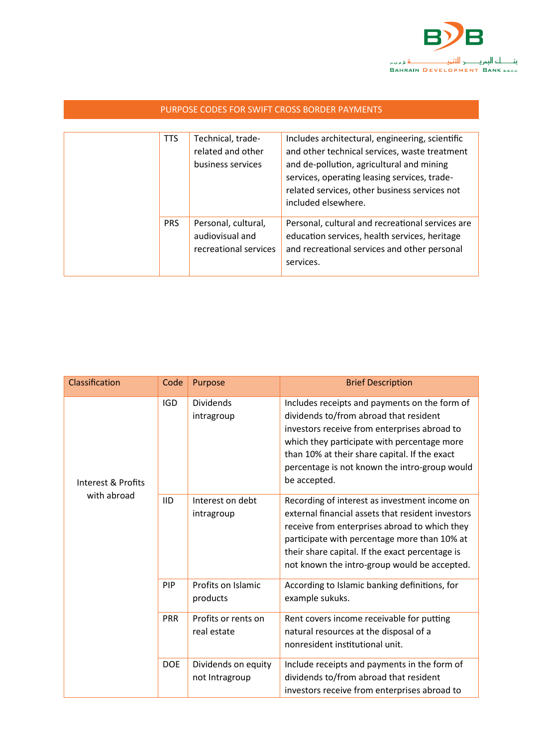

| PURPOSE CODES FOR SWIFT CROSS BORDER PAYMENTS |            |                                                                 |                                                                                                                                                                                                                                                                       |  |
|-----------------------------------------------|------------|-----------------------------------------------------------------|-----------------------------------------------------------------------------------------------------------------------------------------------------------------------------------------------------------------------------------------------------------------------|--|
|                                               |            |                                                                 |                                                                                                                                                                                                                                                                       |  |
|                                               | <b>TTS</b> | Technical, trade-<br>related and other<br>business services     | Includes architectural, engineering, scientific<br>and other technical services, waste treatment<br>and de-pollution, agricultural and mining<br>services, operating leasing services, trade-<br>related services, other business services not<br>included elsewhere. |  |
|                                               | <b>PRS</b> | Personal, cultural,<br>audiovisual and<br>recreational services | Personal, cultural and recreational services are<br>education services, health services, heritage<br>and recreational services and other personal<br>services.                                                                                                        |  |

| Classification                    | Code       | Purpose                               | <b>Brief Description</b>                                                                                                                                                                                                                                                                                 |
|-----------------------------------|------------|---------------------------------------|----------------------------------------------------------------------------------------------------------------------------------------------------------------------------------------------------------------------------------------------------------------------------------------------------------|
| Interest & Profits<br>with abroad | <b>IGD</b> | <b>Dividends</b><br>intragroup        | Includes receipts and payments on the form of<br>dividends to/from abroad that resident<br>investors receive from enterprises abroad to<br>which they participate with percentage more<br>than 10% at their share capital. If the exact<br>percentage is not known the intro-group would<br>be accepted. |
|                                   | <b>IID</b> | Interest on debt<br>intragroup        | Recording of interest as investment income on<br>external financial assets that resident investors<br>receive from enterprises abroad to which they<br>participate with percentage more than 10% at<br>their share capital. If the exact percentage is<br>not known the intro-group would be accepted.   |
|                                   | PIP        | Profits on Islamic<br>products        | According to Islamic banking definitions, for<br>example sukuks.                                                                                                                                                                                                                                         |
|                                   | <b>PRR</b> | Profits or rents on<br>real estate    | Rent covers income receivable for putting<br>natural resources at the disposal of a<br>nonresident institutional unit.                                                                                                                                                                                   |
|                                   | <b>DOE</b> | Dividends on equity<br>not Intragroup | Include receipts and payments in the form of<br>dividends to/from abroad that resident<br>investors receive from enterprises abroad to                                                                                                                                                                   |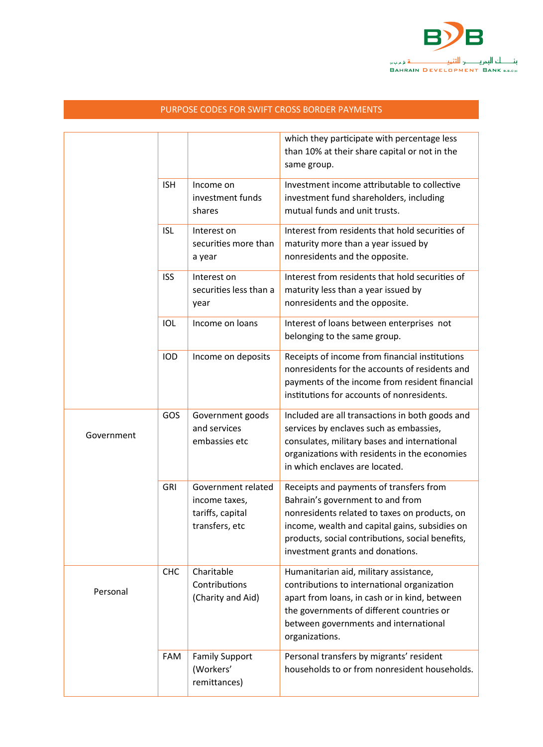

|            |            |                                                                           | which they participate with percentage less<br>than 10% at their share capital or not in the<br>same group.                                                                                                                                                            |
|------------|------------|---------------------------------------------------------------------------|------------------------------------------------------------------------------------------------------------------------------------------------------------------------------------------------------------------------------------------------------------------------|
|            | <b>ISH</b> | Income on<br>investment funds<br>shares                                   | Investment income attributable to collective<br>investment fund shareholders, including<br>mutual funds and unit trusts.                                                                                                                                               |
|            | <b>ISL</b> | Interest on<br>securities more than<br>a year                             | Interest from residents that hold securities of<br>maturity more than a year issued by<br>nonresidents and the opposite.                                                                                                                                               |
|            | <b>ISS</b> | Interest on<br>securities less than a<br>year                             | Interest from residents that hold securities of<br>maturity less than a year issued by<br>nonresidents and the opposite.                                                                                                                                               |
|            | IOL        | Income on loans                                                           | Interest of loans between enterprises not<br>belonging to the same group.                                                                                                                                                                                              |
|            | <b>IOD</b> | Income on deposits                                                        | Receipts of income from financial institutions<br>nonresidents for the accounts of residents and<br>payments of the income from resident financial<br>institutions for accounts of nonresidents.                                                                       |
| Government | GOS        | Government goods<br>and services<br>embassies etc                         | Included are all transactions in both goods and<br>services by enclaves such as embassies,<br>consulates, military bases and international<br>organizations with residents in the economies<br>in which enclaves are located.                                          |
|            | <b>GRI</b> | Government related<br>income taxes,<br>tariffs, capital<br>transfers, etc | Receipts and payments of transfers from<br>Bahrain's government to and from<br>nonresidents related to taxes on products, on<br>income, wealth and capital gains, subsidies on<br>products, social contributions, social benefits,<br>investment grants and donations. |
| Personal   | <b>CHC</b> | Charitable<br>Contributions<br>(Charity and Aid)                          | Humanitarian aid, military assistance,<br>contributions to international organization<br>apart from loans, in cash or in kind, between<br>the governments of different countries or<br>between governments and international<br>organizations.                         |
|            | FAM        | <b>Family Support</b><br>(Workers'<br>remittances)                        | Personal transfers by migrants' resident<br>households to or from nonresident households.                                                                                                                                                                              |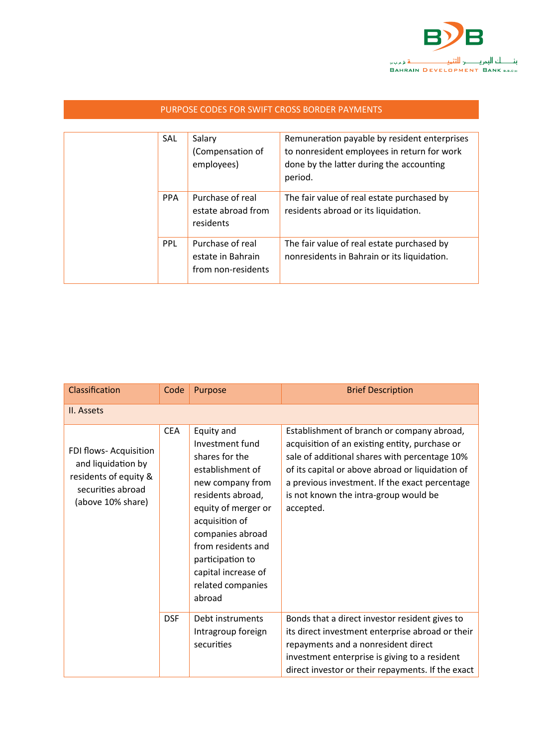

|  | <b>SAL</b> | Salary<br>(Compensation of<br>employees)                    | Remuneration payable by resident enterprises<br>to nonresident employees in return for work<br>done by the latter during the accounting<br>period. |
|--|------------|-------------------------------------------------------------|----------------------------------------------------------------------------------------------------------------------------------------------------|
|  | <b>PPA</b> | Purchase of real<br>estate abroad from<br>residents         | The fair value of real estate purchased by<br>residents abroad or its liquidation.                                                                 |
|  | <b>PPL</b> | Purchase of real<br>estate in Bahrain<br>from non-residents | The fair value of real estate purchased by<br>nonresidents in Bahrain or its liquidation.                                                          |

|  | PURPOSE CODES FOR SWIFT CROSS BORDER PAYMENTS |  |
|--|-----------------------------------------------|--|
|  |                                               |  |

| Classification                                                                                                  | Code       | Purpose                                                                                                                                                                                                                                                                   | <b>Brief Description</b>                                                                                                                                                                                                                                                                                  |
|-----------------------------------------------------------------------------------------------------------------|------------|---------------------------------------------------------------------------------------------------------------------------------------------------------------------------------------------------------------------------------------------------------------------------|-----------------------------------------------------------------------------------------------------------------------------------------------------------------------------------------------------------------------------------------------------------------------------------------------------------|
| II. Assets                                                                                                      |            |                                                                                                                                                                                                                                                                           |                                                                                                                                                                                                                                                                                                           |
| FDI flows- Acquisition<br>and liquidation by<br>residents of equity &<br>securities abroad<br>(above 10% share) | <b>CEA</b> | Equity and<br>Investment fund<br>shares for the<br>establishment of<br>new company from<br>residents abroad,<br>equity of merger or<br>acquisition of<br>companies abroad<br>from residents and<br>participation to<br>capital increase of<br>related companies<br>abroad | Establishment of branch or company abroad,<br>acquisition of an existing entity, purchase or<br>sale of additional shares with percentage 10%<br>of its capital or above abroad or liquidation of<br>a previous investment. If the exact percentage<br>is not known the intra-group would be<br>accepted. |
|                                                                                                                 | <b>DSF</b> | Debt instruments<br>Intragroup foreign                                                                                                                                                                                                                                    | Bonds that a direct investor resident gives to<br>its direct investment enterprise abroad or their                                                                                                                                                                                                        |
|                                                                                                                 |            | securities                                                                                                                                                                                                                                                                | repayments and a nonresident direct                                                                                                                                                                                                                                                                       |
|                                                                                                                 |            |                                                                                                                                                                                                                                                                           | investment enterprise is giving to a resident                                                                                                                                                                                                                                                             |
|                                                                                                                 |            |                                                                                                                                                                                                                                                                           | direct investor or their repayments. If the exact                                                                                                                                                                                                                                                         |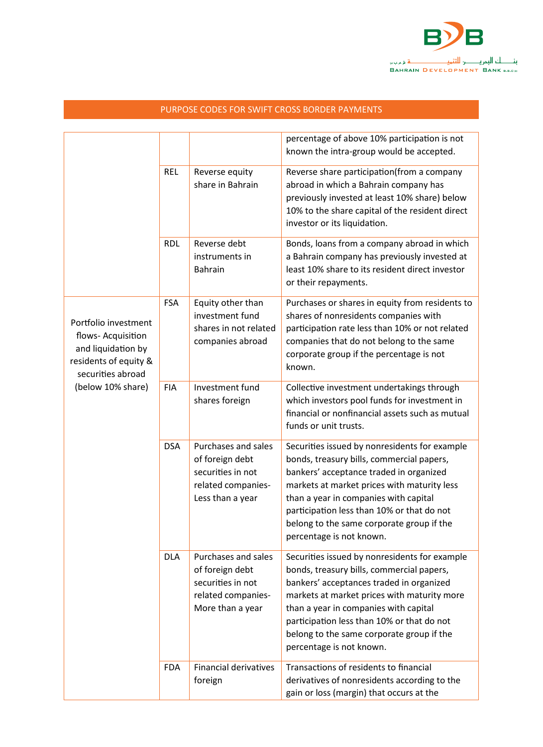

|                                                                                                                                     |            |                                                                                                       | percentage of above 10% participation is not<br>known the intra-group would be accepted.                                                                                                                                                                                                                                                              |
|-------------------------------------------------------------------------------------------------------------------------------------|------------|-------------------------------------------------------------------------------------------------------|-------------------------------------------------------------------------------------------------------------------------------------------------------------------------------------------------------------------------------------------------------------------------------------------------------------------------------------------------------|
|                                                                                                                                     | <b>REL</b> | Reverse equity<br>share in Bahrain                                                                    | Reverse share participation(from a company<br>abroad in which a Bahrain company has<br>previously invested at least 10% share) below<br>10% to the share capital of the resident direct<br>investor or its liquidation.                                                                                                                               |
|                                                                                                                                     | <b>RDL</b> | Reverse debt<br>instruments in<br>Bahrain                                                             | Bonds, loans from a company abroad in which<br>a Bahrain company has previously invested at<br>least 10% share to its resident direct investor<br>or their repayments.                                                                                                                                                                                |
| Portfolio investment<br>flows- Acquisition<br>and liquidation by<br>residents of equity &<br>securities abroad<br>(below 10% share) | <b>FSA</b> | Equity other than<br>investment fund<br>shares in not related<br>companies abroad                     | Purchases or shares in equity from residents to<br>shares of nonresidents companies with<br>participation rate less than 10% or not related<br>companies that do not belong to the same<br>corporate group if the percentage is not<br>known.                                                                                                         |
|                                                                                                                                     | <b>FIA</b> | Investment fund<br>shares foreign                                                                     | Collective investment undertakings through<br>which investors pool funds for investment in<br>financial or nonfinancial assets such as mutual<br>funds or unit trusts.                                                                                                                                                                                |
|                                                                                                                                     | <b>DSA</b> | Purchases and sales<br>of foreign debt<br>securities in not<br>related companies-<br>Less than a year | Securities issued by nonresidents for example<br>bonds, treasury bills, commercial papers,<br>bankers' acceptance traded in organized<br>markets at market prices with maturity less<br>than a year in companies with capital<br>participation less than 10% or that do not<br>belong to the same corporate group if the<br>percentage is not known.  |
|                                                                                                                                     | <b>DLA</b> | Purchases and sales<br>of foreign debt<br>securities in not<br>related companies-<br>More than a year | Securities issued by nonresidents for example<br>bonds, treasury bills, commercial papers,<br>bankers' acceptances traded in organized<br>markets at market prices with maturity more<br>than a year in companies with capital<br>participation less than 10% or that do not<br>belong to the same corporate group if the<br>percentage is not known. |
|                                                                                                                                     | <b>FDA</b> | <b>Financial derivatives</b><br>foreign                                                               | Transactions of residents to financial<br>derivatives of nonresidents according to the<br>gain or loss (margin) that occurs at the                                                                                                                                                                                                                    |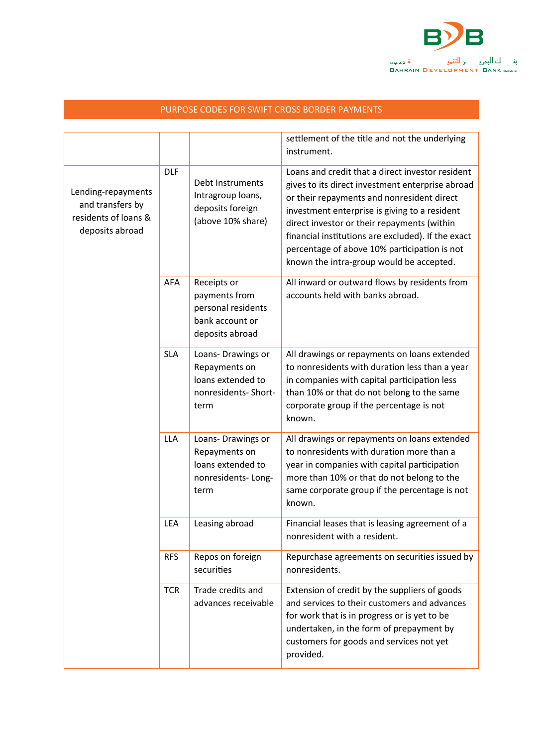

|                                                                                   |            |                                                                                          | settlement of the title and not the underlying<br>instrument.                                                                                                                                                                                                                                                                                                                                        |
|-----------------------------------------------------------------------------------|------------|------------------------------------------------------------------------------------------|------------------------------------------------------------------------------------------------------------------------------------------------------------------------------------------------------------------------------------------------------------------------------------------------------------------------------------------------------------------------------------------------------|
| Lending-repayments<br>and transfers by<br>residents of loans &<br>deposits abroad | <b>DLF</b> | Debt Instruments<br>Intragroup loans,<br>deposits foreign<br>(above 10% share)           | Loans and credit that a direct investor resident<br>gives to its direct investment enterprise abroad<br>or their repayments and nonresident direct<br>investment enterprise is giving to a resident<br>direct investor or their repayments (within<br>financial institutions are excluded). If the exact<br>percentage of above 10% participation is not<br>known the intra-group would be accepted. |
|                                                                                   | <b>AFA</b> | Receipts or<br>payments from<br>personal residents<br>bank account or<br>deposits abroad | All inward or outward flows by residents from<br>accounts held with banks abroad.                                                                                                                                                                                                                                                                                                                    |
|                                                                                   | <b>SLA</b> | Loans-Drawings or<br>Repayments on<br>loans extended to<br>nonresidents-Short-<br>term   | All drawings or repayments on loans extended<br>to nonresidents with duration less than a year<br>in companies with capital participation less<br>than 10% or that do not belong to the same<br>corporate group if the percentage is not<br>known.                                                                                                                                                   |
|                                                                                   | <b>LLA</b> | Loans-Drawings or<br>Repayments on<br>loans extended to<br>nonresidents-Long-<br>term    | All drawings or repayments on loans extended<br>to nonresidents with duration more than a<br>year in companies with capital participation<br>more than 10% or that do not belong to the<br>same corporate group if the percentage is not<br>known.                                                                                                                                                   |
|                                                                                   | LEA        | Leasing abroad                                                                           | Financial leases that is leasing agreement of a<br>nonresident with a resident.                                                                                                                                                                                                                                                                                                                      |
|                                                                                   | <b>RFS</b> | Repos on foreign<br>securities                                                           | Repurchase agreements on securities issued by<br>nonresidents.                                                                                                                                                                                                                                                                                                                                       |
|                                                                                   | <b>TCR</b> | Trade credits and<br>advances receivable                                                 | Extension of credit by the suppliers of goods<br>and services to their customers and advances<br>for work that is in progress or is yet to be<br>undertaken, in the form of prepayment by<br>customers for goods and services not yet<br>provided.                                                                                                                                                   |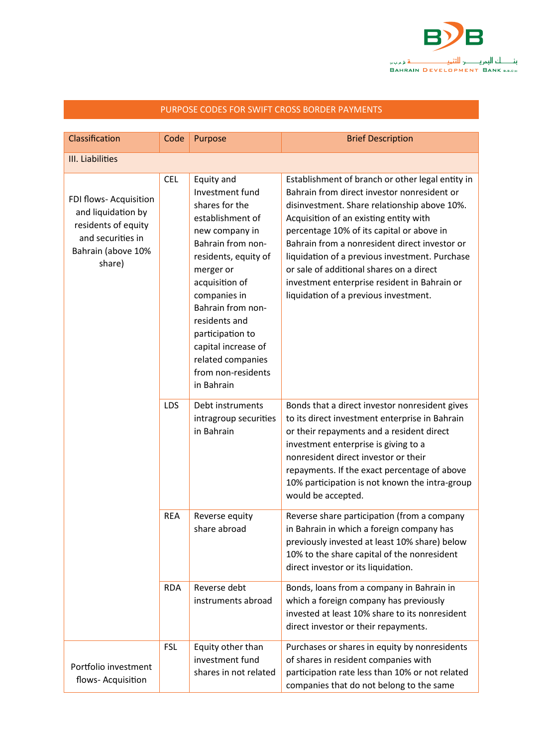

| Classification                                                                                                           | Code       | Purpose                                                                                                                                                                                                                                                                                                                     | <b>Brief Description</b>                                                                                                                                                                                                                                                                                                                                                                                                                                                       |  |  |
|--------------------------------------------------------------------------------------------------------------------------|------------|-----------------------------------------------------------------------------------------------------------------------------------------------------------------------------------------------------------------------------------------------------------------------------------------------------------------------------|--------------------------------------------------------------------------------------------------------------------------------------------------------------------------------------------------------------------------------------------------------------------------------------------------------------------------------------------------------------------------------------------------------------------------------------------------------------------------------|--|--|
| III. Liabilities                                                                                                         |            |                                                                                                                                                                                                                                                                                                                             |                                                                                                                                                                                                                                                                                                                                                                                                                                                                                |  |  |
| FDI flows- Acquisition<br>and liquidation by<br>residents of equity<br>and securities in<br>Bahrain (above 10%<br>share) | <b>CEL</b> | Equity and<br>Investment fund<br>shares for the<br>establishment of<br>new company in<br>Bahrain from non-<br>residents, equity of<br>merger or<br>acquisition of<br>companies in<br>Bahrain from non-<br>residents and<br>participation to<br>capital increase of<br>related companies<br>from non-residents<br>in Bahrain | Establishment of branch or other legal entity in<br>Bahrain from direct investor nonresident or<br>disinvestment. Share relationship above 10%.<br>Acquisition of an existing entity with<br>percentage 10% of its capital or above in<br>Bahrain from a nonresident direct investor or<br>liquidation of a previous investment. Purchase<br>or sale of additional shares on a direct<br>investment enterprise resident in Bahrain or<br>liquidation of a previous investment. |  |  |
|                                                                                                                          | LDS        | Debt instruments<br>intragroup securities<br>in Bahrain                                                                                                                                                                                                                                                                     | Bonds that a direct investor nonresident gives<br>to its direct investment enterprise in Bahrain<br>or their repayments and a resident direct<br>investment enterprise is giving to a<br>nonresident direct investor or their<br>repayments. If the exact percentage of above<br>10% participation is not known the intra-group<br>would be accepted.                                                                                                                          |  |  |
|                                                                                                                          | <b>REA</b> | Reverse equity<br>share abroad                                                                                                                                                                                                                                                                                              | Reverse share participation (from a company<br>in Bahrain in which a foreign company has<br>previously invested at least 10% share) below<br>10% to the share capital of the nonresident<br>direct investor or its liquidation.                                                                                                                                                                                                                                                |  |  |
|                                                                                                                          | <b>RDA</b> | Reverse debt<br>instruments abroad                                                                                                                                                                                                                                                                                          | Bonds, loans from a company in Bahrain in<br>which a foreign company has previously<br>invested at least 10% share to its nonresident<br>direct investor or their repayments.                                                                                                                                                                                                                                                                                                  |  |  |
| Portfolio investment<br>flows-Acquisition                                                                                | <b>FSL</b> | Equity other than<br>investment fund<br>shares in not related                                                                                                                                                                                                                                                               | Purchases or shares in equity by nonresidents<br>of shares in resident companies with<br>participation rate less than 10% or not related<br>companies that do not belong to the same                                                                                                                                                                                                                                                                                           |  |  |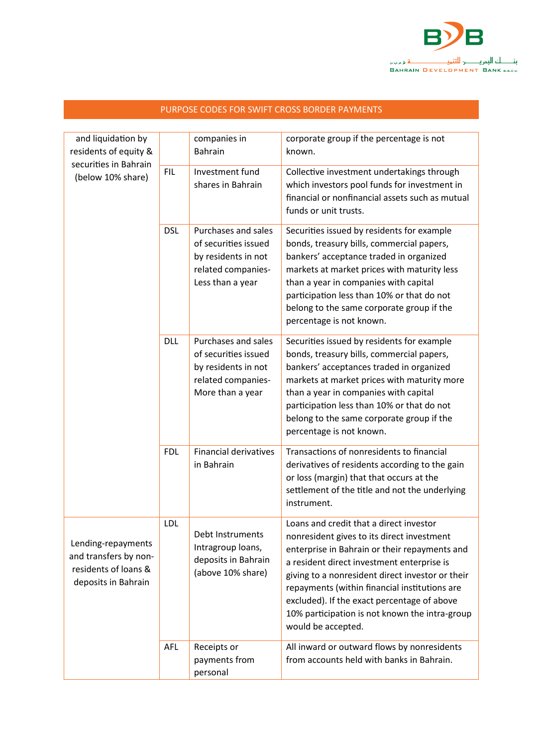

| and liquidation by<br>residents of equity &                                                |            | companies in<br>Bahrain                                                                                      | corporate group if the percentage is not<br>known.                                                                                                                                                                                                                                                                                                                                                               |
|--------------------------------------------------------------------------------------------|------------|--------------------------------------------------------------------------------------------------------------|------------------------------------------------------------------------------------------------------------------------------------------------------------------------------------------------------------------------------------------------------------------------------------------------------------------------------------------------------------------------------------------------------------------|
| securities in Bahrain<br>(below 10% share)                                                 | <b>FIL</b> | Investment fund<br>shares in Bahrain                                                                         | Collective investment undertakings through<br>which investors pool funds for investment in<br>financial or nonfinancial assets such as mutual<br>funds or unit trusts.                                                                                                                                                                                                                                           |
|                                                                                            | <b>DSL</b> | Purchases and sales<br>of securities issued<br>by residents in not<br>related companies-<br>Less than a year | Securities issued by residents for example<br>bonds, treasury bills, commercial papers,<br>bankers' acceptance traded in organized<br>markets at market prices with maturity less<br>than a year in companies with capital<br>participation less than 10% or that do not<br>belong to the same corporate group if the<br>percentage is not known.                                                                |
|                                                                                            | <b>DLL</b> | Purchases and sales<br>of securities issued<br>by residents in not<br>related companies-<br>More than a year | Securities issued by residents for example<br>bonds, treasury bills, commercial papers,<br>bankers' acceptances traded in organized<br>markets at market prices with maturity more<br>than a year in companies with capital<br>participation less than 10% or that do not<br>belong to the same corporate group if the<br>percentage is not known.                                                               |
|                                                                                            | <b>FDL</b> | <b>Financial derivatives</b><br>in Bahrain                                                                   | Transactions of nonresidents to financial<br>derivatives of residents according to the gain<br>or loss (margin) that that occurs at the<br>settlement of the title and not the underlying<br>instrument.                                                                                                                                                                                                         |
| Lending-repayments<br>and transfers by non-<br>residents of loans &<br>deposits in Bahrain | LDL        | Debt Instruments<br>Intragroup loans,<br>deposits in Bahrain<br>(above 10% share)                            | Loans and credit that a direct investor<br>nonresident gives to its direct investment<br>enterprise in Bahrain or their repayments and<br>a resident direct investment enterprise is<br>giving to a nonresident direct investor or their<br>repayments (within financial institutions are<br>excluded). If the exact percentage of above<br>10% participation is not known the intra-group<br>would be accepted. |
|                                                                                            | <b>AFL</b> | Receipts or<br>payments from<br>personal                                                                     | All inward or outward flows by nonresidents<br>from accounts held with banks in Bahrain.                                                                                                                                                                                                                                                                                                                         |